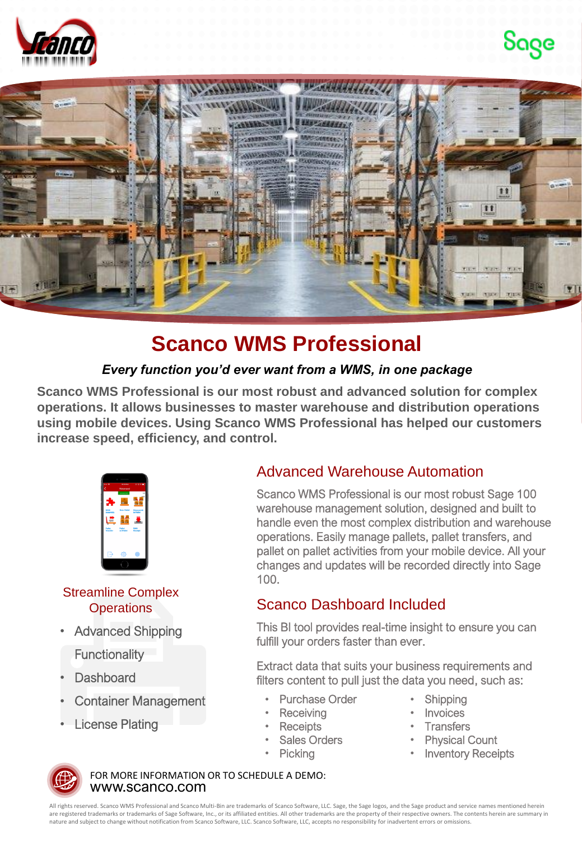





## **Scanco WMS Professional**

#### *Every function you'd ever want from a WMS, in one package*

**Scanco WMS Professional is our most robust and advanced solution for complex operations. It allows businesses to master warehouse and distribution operations using mobile devices. Using Scanco WMS Professional has helped our customers increase speed, efficiency, and control.**



Streamline Complex **Operations** 

• Advanced Shipping

**Functionality** 

- Dashboard
- Container Management
- **License Plating**

#### Advanced Warehouse Automation

Scanco WMS Professional is our most robust Sage 100 warehouse management solution, designed and built to handle even the most complex distribution and warehouse operations. Easily manage pallets, pallet transfers, and pallet on pallet activities from your mobile device. All your changes and updates will be recorded directly into Sage 100.

### Scanco Dashboard Included

This BI tool provides real-time insight to ensure you can fulfill your orders faster than ever.

Extract data that suits your business requirements and filters content to pull just the data you need, such as:

- Purchase Order
- **Receiving**
- Receipts
- Sales Orders
	- **Picking**
- **Shipping**
- **Invoices**
- **Transfers**
- **Physical Count**
- **Inventory Receipts**



www.scanco.com FOR MORE INFORMATION OR TO SCHEDULE A DEMO:

All rights reserved. Scanco WMS Professional and Scanco Multi-Bin are trademarks of Scanco Software, LLC. Sage, the Sage logos, and the Sage product and service names mentioned herein are registered trademarks or trademarks of Sage Software, Inc., or its affiliated entities. All other trademarks are the property of their respective owners. The contents herein are summary in nature and subject to change without notification from Scanco Software, LLC. Scanco Software, LLC, accepts no responsibility for inadvertent errors or omissions.